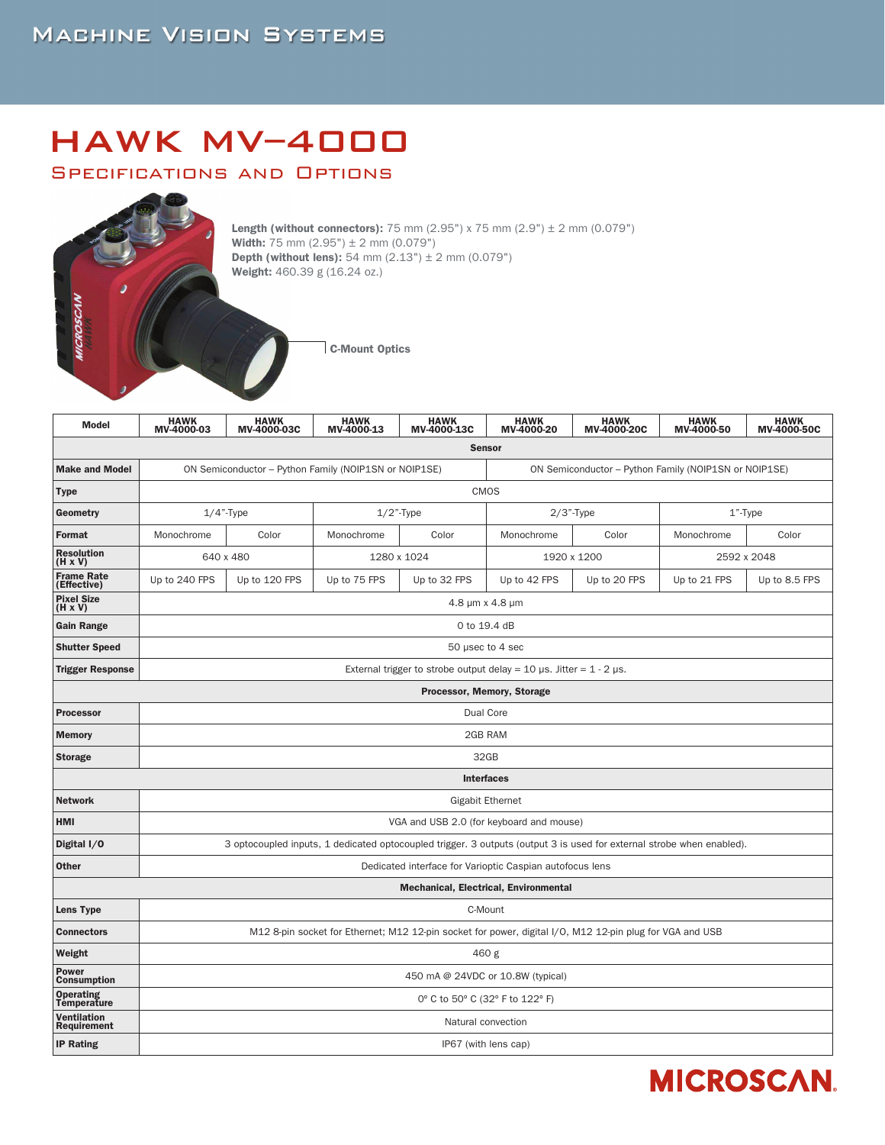## **MACHINE VISION SYSTEMS**

# HAWK MV–4000

#### Specifications and Options



**Length (without connectors):** 75 mm (2.95") x 75 mm (2.9")  $\pm$  2 mm (0.079") **Width:** 75 mm  $(2.95") \pm 2$  mm  $(0.079")$ **Depth (without lens):** 54 mm  $(2.13") \pm 2$  mm  $(0.079")$ Weight: 460.39 g (16.24 oz.)

C-Mount Optics

| <b>Model</b>                        | <b>HAWK</b><br>MV-4000-03                                                                                             | <b>HAWK</b><br>MV-4000-03C | <b>HAWK</b><br>MV-4000-13 | <b>HAWK</b><br>MV-4000-13C | <b>HAWK</b><br>MV-4000-20                             | <b>HAWK</b><br>MV-4000-20C | <b>HAWK</b><br>MV-4000-50 | <b>HAWK</b><br>MV-4000-50C |
|-------------------------------------|-----------------------------------------------------------------------------------------------------------------------|----------------------------|---------------------------|----------------------------|-------------------------------------------------------|----------------------------|---------------------------|----------------------------|
| <b>Sensor</b>                       |                                                                                                                       |                            |                           |                            |                                                       |                            |                           |                            |
| <b>Make and Model</b>               | ON Semiconductor - Python Family (NOIP1SN or NOIP1SE)                                                                 |                            |                           |                            | ON Semiconductor - Python Family (NOIP1SN or NOIP1SE) |                            |                           |                            |
| <b>Type</b>                         | CMOS                                                                                                                  |                            |                           |                            |                                                       |                            |                           |                            |
| Geometry                            |                                                                                                                       | $1/4$ "-Type               | $1/2$ "-Type              |                            | $2/3$ "-Type                                          |                            | 1"-Type                   |                            |
| Format                              | Monochrome                                                                                                            | Color                      | Monochrome                | Color                      | Monochrome                                            | Color                      | Monochrome                | Color                      |
| <b>Resolution</b><br>(H x V)        | 640 x 480                                                                                                             |                            | 1280 x 1024               |                            | 1920 x 1200                                           |                            | 2592 x 2048               |                            |
| <b>Frame Rate</b><br>(Effective)    | Up to 240 FPS                                                                                                         | Up to 120 FPS              | Up to 75 FPS              | Up to 32 FPS               | Up to 42 FPS                                          | Up to 20 FPS               | Up to 21 FPS              | Up to 8.5 FPS              |
| <b>Pixel Size</b><br>$(H \times V)$ | 4.8 µm x 4.8 µm                                                                                                       |                            |                           |                            |                                                       |                            |                           |                            |
| <b>Gain Range</b>                   | 0 to 19.4 dB                                                                                                          |                            |                           |                            |                                                       |                            |                           |                            |
| <b>Shutter Speed</b>                | 50 µsec to 4 sec                                                                                                      |                            |                           |                            |                                                       |                            |                           |                            |
| <b>Trigger Response</b>             | External trigger to strobe output delay = 10 $\mu$ s. Jitter = 1 - 2 $\mu$ s.                                         |                            |                           |                            |                                                       |                            |                           |                            |
|                                     | Processor, Memory, Storage                                                                                            |                            |                           |                            |                                                       |                            |                           |                            |
| <b>Processor</b>                    | Dual Core                                                                                                             |                            |                           |                            |                                                       |                            |                           |                            |
| <b>Memory</b>                       | 2GB RAM                                                                                                               |                            |                           |                            |                                                       |                            |                           |                            |
| <b>Storage</b>                      | 32GB                                                                                                                  |                            |                           |                            |                                                       |                            |                           |                            |
|                                     | <b>Interfaces</b>                                                                                                     |                            |                           |                            |                                                       |                            |                           |                            |
| <b>Network</b>                      | <b>Gigabit Ethernet</b>                                                                                               |                            |                           |                            |                                                       |                            |                           |                            |
| <b>HMI</b>                          | VGA and USB 2.0 (for keyboard and mouse)                                                                              |                            |                           |                            |                                                       |                            |                           |                            |
| Digital I/0                         | 3 optocoupled inputs, 1 dedicated optocoupled trigger. 3 outputs (output 3 is used for external strobe when enabled). |                            |                           |                            |                                                       |                            |                           |                            |
| <b>Other</b>                        | Dedicated interface for Varioptic Caspian autofocus lens                                                              |                            |                           |                            |                                                       |                            |                           |                            |
|                                     | <b>Mechanical, Electrical, Environmental</b>                                                                          |                            |                           |                            |                                                       |                            |                           |                            |
| <b>Lens Type</b>                    | C-Mount                                                                                                               |                            |                           |                            |                                                       |                            |                           |                            |
| <b>Connectors</b>                   | M12 8-pin socket for Ethernet; M12 12-pin socket for power, digital I/O, M12 12-pin plug for VGA and USB              |                            |                           |                            |                                                       |                            |                           |                            |
| Weight                              | 460 g                                                                                                                 |                            |                           |                            |                                                       |                            |                           |                            |
| Power<br><b>Consumption</b>         | 450 mA @ 24VDC or 10.8W (typical)                                                                                     |                            |                           |                            |                                                       |                            |                           |                            |
| <b>Operating</b><br>Temperature     | 0° C to 50° C (32° F to 122° F)                                                                                       |                            |                           |                            |                                                       |                            |                           |                            |
| Ventilation<br>Requirement          | Natural convection                                                                                                    |                            |                           |                            |                                                       |                            |                           |                            |
| <b>IP Rating</b>                    | IP67 (with lens cap)                                                                                                  |                            |                           |                            |                                                       |                            |                           |                            |

## **MICROSCAN.**